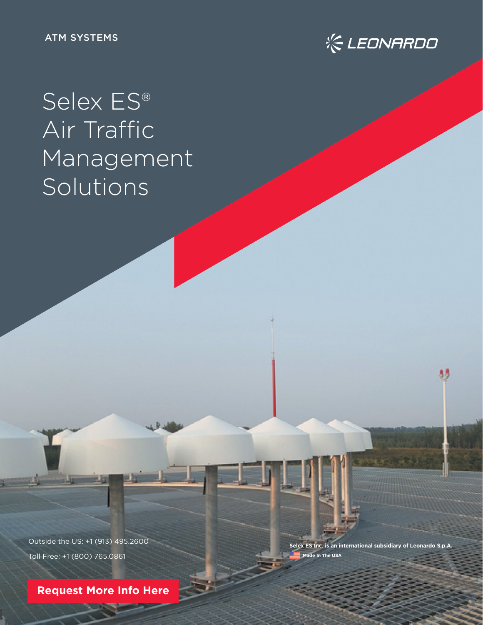

# Selex ES® Air Traffic Management Solutions

Outside the US: +1 (913) 495.2600 Toll Free: +1 (800) 765.0861

**[Request More Info Here](https://www.leonardocompany-us.com/atm-qr-info-request)**

**Selex ES Inc. is an international subsidiary of Leonardo S.p.A. Made In The USA** 

88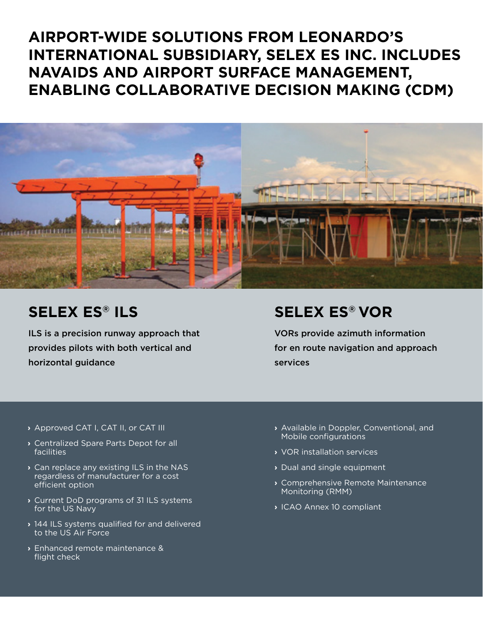### **AIRPORT-WIDE SOLUTIONS FROM LEONARDO'S INTERNATIONAL SUBSIDIARY, SELEX ES INC. INCLUDES NAVAIDS AND AIRPORT SURFACE MANAGEMENT, ENABLING COLLABORATIVE DECISION MAKING (CDM)**



### **SELEX ES® ILS**

ILS is a precision runway approach that provides pilots with both vertical and horizontal guidance

### **SELEX ES® VOR**

VORs provide azimuth information for en route navigation and approach services

- **›** Approved CAT I, CAT II, or CAT III
- **›** Centralized Spare Parts Depot for all facilities
- **›** Can replace any existing ILS in the NAS regardless of manufacturer for a cost efficient option
- **›** Current DoD programs of 31 ILS systems for the US Navy
- **›** 144 ILS systems qualified for and delivered to the US Air Force
- **›** Enhanced remote maintenance & flight check
- **›** Available in Doppler, Conventional, and Mobile configurations
- **›** VOR installation services
- **›** Dual and single equipment
- **›** Comprehensive Remote Maintenance Monitoring (RMM)
- **›** ICAO Annex 10 compliant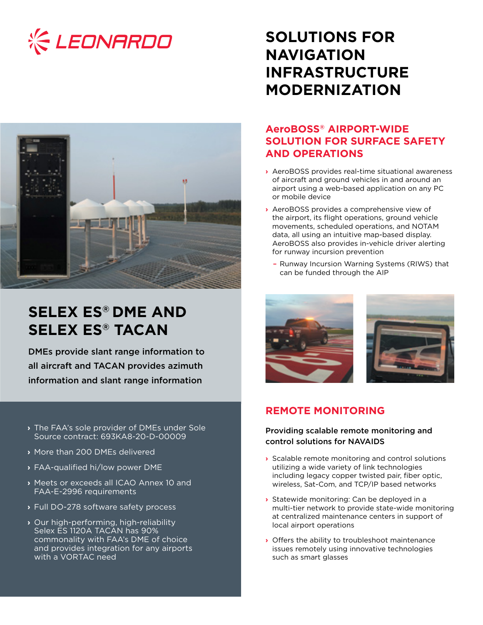



## **SELEX ES® DME AND SELEX ES® TACAN**

DMEs provide slant range information to all aircraft and TACAN provides azimuth information and slant range information

- **›** The FAA's sole provider of DMEs under Sole Source contract: 693KA8-20-D-00009
- **›** More than 200 DMEs delivered
- **›** FAA-qualified hi/low power DME
- **›** Meets or exceeds all ICAO Annex 10 and FAA-E-2996 requirements
- **›** Full DO-278 software safety process
- **›** Our high-performing, high-reliability Selex ES 1120A TACAN has 90% commonality with FAA's DME of choice and provides integration for any airports with a VORTAC need

### **SOLUTIONS FOR NAVIGATION INFRASTRUCTURE MODERNIZATION**

### **AeroBOSS® AIRPORT-WIDE SOLUTION FOR SURFACE SAFETY AND OPERATIONS**

- **›** AeroBOSS provides real-time situational awareness of aircraft and ground vehicles in and around an airport using a web-based application on any PC or mobile device
- **›** AeroBOSS provides a comprehensive view of the airport, its flight operations, ground vehicle movements, scheduled operations, and NOTAM data, all using an intuitive map-based display. AeroBOSS also provides in-vehicle driver alerting for runway incursion prevention
	- Runway Incursion Warning Systems (RIWS) that can be funded through the AIP





### **REMOTE MONITORING**

#### Providing scalable remote monitoring and control solutions for NAVAIDS

- **›** Scalable remote monitoring and control solutions utilizing a wide variety of link technologies including legacy copper twisted pair, fiber optic, wireless, Sat-Com, and TCP/IP based networks
- **›** Statewide monitoring: Can be deployed in a multi-tier network to provide state-wide monitoring at centralized maintenance centers in support of local airport operations
- **›** Offers the ability to troubleshoot maintenance issues remotely using innovative technologies such as smart glasses